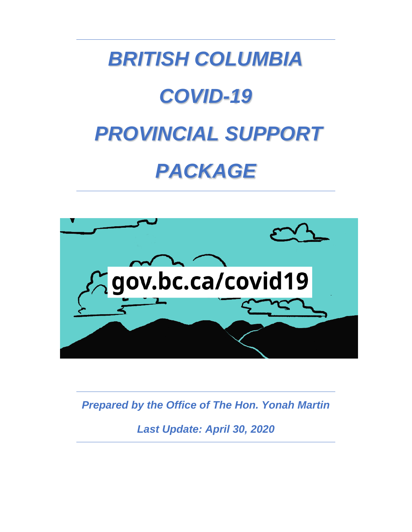



*Prepared by the Office of The Hon. Yonah Martin*

*Last Update: April 30, 2020*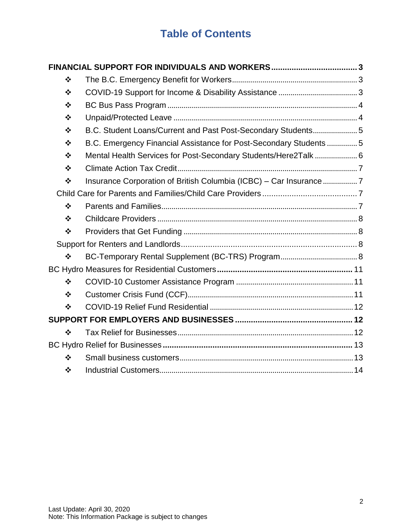# **Table of Contents**

| $\bullet$         |                                                                    |  |  |
|-------------------|--------------------------------------------------------------------|--|--|
| $\frac{1}{2}$     |                                                                    |  |  |
| $\bullet$         |                                                                    |  |  |
| $\bullet$         |                                                                    |  |  |
| $\bullet$         | B.C. Student Loans/Current and Past Post-Secondary Students 5      |  |  |
| $\bullet$         | B.C. Emergency Financial Assistance for Post-Secondary Students  5 |  |  |
| $\bullet$         | Mental Health Services for Post-Secondary Students/Here2Talk 6     |  |  |
| $\bullet$         |                                                                    |  |  |
| $\bullet \bullet$ | Insurance Corporation of British Columbia (ICBC) - Car Insurance 7 |  |  |
|                   |                                                                    |  |  |
| $\frac{1}{2}$     |                                                                    |  |  |
| ❖                 |                                                                    |  |  |
| $\bullet \bullet$ |                                                                    |  |  |
|                   |                                                                    |  |  |
| $\frac{1}{2}$     |                                                                    |  |  |
|                   |                                                                    |  |  |
| $\frac{1}{2}$     |                                                                    |  |  |
| $\frac{1}{2}$     |                                                                    |  |  |
| ❖                 |                                                                    |  |  |
|                   |                                                                    |  |  |
| $\frac{1}{2}$     |                                                                    |  |  |
|                   |                                                                    |  |  |
| $\frac{1}{2}$     |                                                                    |  |  |
| ❖                 |                                                                    |  |  |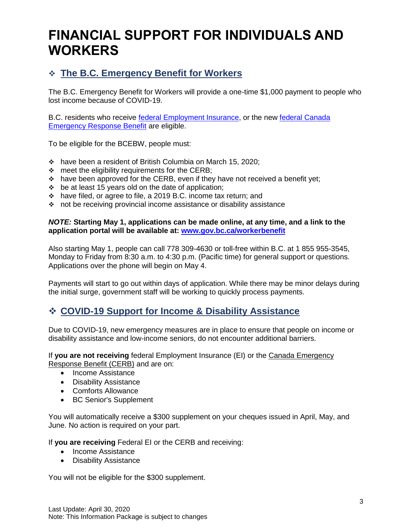# <span id="page-2-0"></span>**FINANCIAL SUPPORT FOR INDIVIDUALS AND WORKERS**

# <span id="page-2-1"></span>❖ **The B.C. Emergency Benefit for Workers**

The B.C. Emergency Benefit for Workers will provide a one-time \$1,000 payment to people who lost income because of COVID-19.

B.C. residents who receive [federal Employment Insurance,](https://www.canada.ca/en/department-finance/economic-response-plan/covid19-individuals.html#improved_access_employment_insurance) or the new [federal Canada](https://www.canada.ca/en/department-finance/economic-response-plan/covid19-individuals.html#new_canada_emergency_response_benefit)  [Emergency Response Benefit](https://www.canada.ca/en/department-finance/economic-response-plan/covid19-individuals.html#new_canada_emergency_response_benefit) are eligible.

To be eligible for the BCEBW, people must:

- ❖ have been a resident of British Columbia on March 15, 2020;
- $\div$  meet the eligibility requirements for the CERB;
- ❖ have been approved for the CERB, even if they have not received a benefit yet;
- ❖ be at least 15 years old on the date of application;
- ❖ have filed, or agree to file, a 2019 B.C. income tax return; and
- ❖ not be receiving provincial income assistance or disability assistance

#### *NOTE:* **Starting May 1, applications can be made online, at any time, and a link to the application portal will be available at: [www.gov.bc.ca/workerbenefit](http://www.gov.bc.ca/workerbenefit)**

Also starting May 1, people can call 778 309-4630 or toll-free within B.C. at 1 855 955-3545, Monday to Friday from 8:30 a.m. to 4:30 p.m. (Pacific time) for general support or questions. Applications over the phone will begin on May 4.

Payments will start to go out within days of application. While there may be minor delays during the initial surge, government staff will be working to quickly process payments.

## <span id="page-2-2"></span>❖ **COVID-19 Support for Income & Disability Assistance**

Due to COVID-19, new emergency measures are in place to ensure that people on income or disability assistance and low-income seniors, do not encounter additional barriers.

If **you are not receiving** federal Employment Insurance (EI) or the [Canada Emergency](https://www.canada.ca/en/revenue-agency/services/benefits/apply-for-cerb-with-cra.html)  [Response Benefit \(CERB\)](https://www.canada.ca/en/revenue-agency/services/benefits/apply-for-cerb-with-cra.html) and are on:

- Income Assistance
- Disability Assistance
- Comforts Allowance
- BC Senior's Supplement

You will automatically receive a \$300 supplement on your cheques issued in April, May, and June. No action is required on your part.

If **you are receiving** Federal EI or the CERB and receiving:

- Income Assistance
- Disability Assistance

You will not be eligible for the \$300 supplement.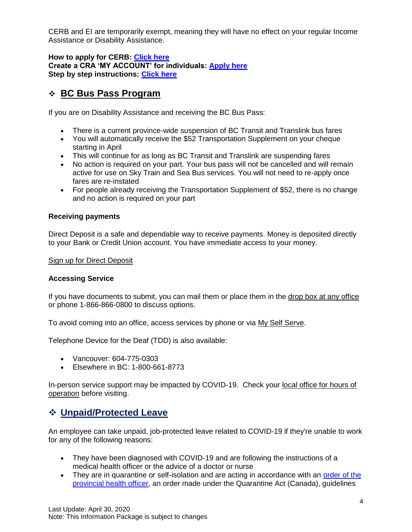CERB and EI are temporarily exempt, meaning they will have no effect on your regular Income Assistance or Disability Assistance.

**How to apply for CERB: [Click here](https://www.canada.ca/en/services/benefits/ei/cerb-application.html) Create a CRA 'MY ACCOUNT' for individuals: [Apply here](https://www.canada.ca/en/revenue-agency/services/e-services/e-services-individuals/account-individuals.html) Step by step instructions: [Click here](https://www.canada.ca/en/revenue-agency/services/e-services/cra-login-services/cra-user-password-help-faqs/registration-process-access-cra-login-services.html#hlp1a)**

## <span id="page-3-0"></span>❖ **BC Bus Pass Program**

If you are on Disability Assistance and receiving the BC Bus Pass:

- There is a current province-wide suspension of BC Transit and Translink bus fares
- You will automatically receive the \$52 Transportation Supplement on your cheque starting in April
- This will continue for as long as BC Transit and Translink are suspending fares
- No action is required on your part. Your bus pass will not be cancelled and will remain active for use on Sky Train and Sea Bus services. You will not need to re-apply once fares are re-instated
- For people already receiving the Transportation Supplement of \$52, there is no change and no action is required on your part

## **Receiving payments**

Direct Deposit is a safe and dependable way to receive payments. Money is deposited directly to your Bank or Credit Union account. You have immediate access to your money.

#### [Sign up for Direct Deposit](https://www2.gov.bc.ca/gov/content/family-social-supports/income-assistance/payment-dates/direct-deposit)

### **Accessing Service**

If you have documents to submit, you can mail them or place them in the [drop box at any office](https://www2.gov.bc.ca/gov/content/family-social-supports/income-assistance/access-services) or phone 1-866-866-0800 to discuss options.

To avoid coming into an office, access services by phone or via [My Self Serve.](https://myselfserve.gov.bc.ca/)

Telephone Device for the Deaf (TDD) is also available:

- Vancouver: 604-775-0303
- Elsewhere in BC: 1-800-661-8773

In-person service support may be impacted by COVID-19. Check your [local office for hours of](https://www2.gov.bc.ca/gov/content/family-social-supports/income-assistance/access-services)  [operation](https://www2.gov.bc.ca/gov/content/family-social-supports/income-assistance/access-services) before visiting.

## <span id="page-3-1"></span>❖ **Unpaid/Protected Leave**

An employee can take unpaid, job-protected leave related to COVID-19 if they're unable to work for any of the following reasons:

- They have been diagnosed with COVID-19 and are following the instructions of a medical health officer or the advice of a doctor or nurse
- They are in quarantine or self-isolation and are acting in accordance with an order of the [provincial health officer,](https://www2.gov.bc.ca/gov/content/health/about-bc-s-health-care-system/office-of-the-provincial-health-officer/current-health-topics) an order made under the Quarantine Act (Canada), guidelines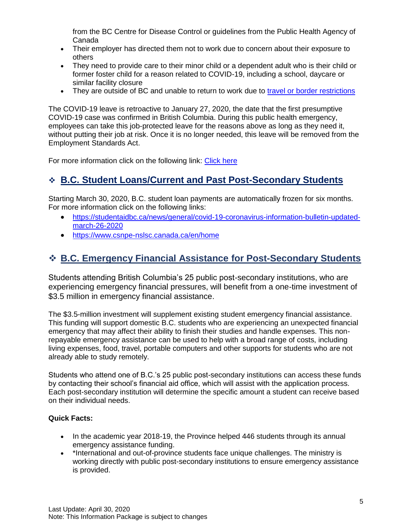from the BC Centre for Disease Control or guidelines from the Public Health Agency of Canada

- Their employer has directed them not to work due to concern about their exposure to others
- They need to provide care to their minor child or a dependent adult who is their child or former foster child for a reason related to COVID-19, including a school, daycare or similar facility closure
- They are outside of BC and unable to return to work due to [travel or border restrictions](https://www.canada.ca/en/public-health/services/diseases/2019-novel-coronavirus-infection/latest-travel-health-advice.html)

The COVID-19 leave is retroactive to January 27, 2020, the date that the first presumptive COVID-19 case was confirmed in British Columbia. During this public health emergency, employees can take this job-protected leave for the reasons above as long as they need it, without putting their job at risk. Once it is no longer needed, this leave will be removed from the Employment Standards Act.

For more information click on the following link: [Click here](https://www2.gov.bc.ca/gov/content/employment-business/employment-standards-advice/employment-standards/time-off/leaves-of-absence#covid19)

## <span id="page-4-0"></span>❖ **B.C. Student Loans/Current and Past Post-Secondary Students**

Starting March 30, 2020, B.C. student loan payments are automatically frozen for six months. For more information click on the following links:

- [https://studentaidbc.ca/news/general/covid-19-coronavirus-information-bulletin-updated](https://studentaidbc.ca/news/general/covid-19-coronavirus-information-bulletin-updated-march-26-2020)[march-26-2020](https://studentaidbc.ca/news/general/covid-19-coronavirus-information-bulletin-updated-march-26-2020)
- <https://www.csnpe-nslsc.canada.ca/en/home>

## <span id="page-4-1"></span>❖ **B.C. Emergency Financial Assistance for Post-Secondary Students**

Students attending British Columbia's 25 public post-secondary institutions, who are experiencing emergency financial pressures, will benefit from a one-time investment of \$3.5 million in emergency financial assistance.

The \$3.5-million investment will supplement existing student emergency financial assistance. This funding will support domestic B.C. students who are experiencing an unexpected financial emergency that may affect their ability to finish their studies and handle expenses. This nonrepayable emergency assistance can be used to help with a broad range of costs, including living expenses, food, travel, portable computers and other supports for students who are not already able to study remotely.

Students who attend one of B.C.'s 25 public post-secondary institutions can access these funds by contacting their school's financial aid office, which will assist with the application process. Each post-secondary institution will determine the specific amount a student can receive based on their individual needs.

### **Quick Facts:**

- In the academic year 2018-19, the Province helped 446 students through its annual emergency assistance funding.
- \*International and out-of-province students face unique challenges. The ministry is working directly with public post-secondary institutions to ensure emergency assistance is provided.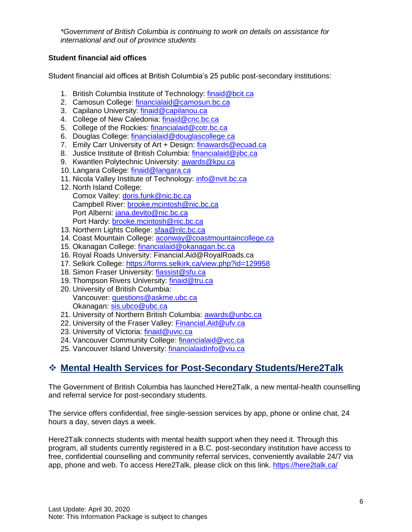*\*Government of British Columbia is continuing to work on details on assistance for international and out of province students*

### **Student financial aid offices**

Student financial aid offices at British Columbia's 25 public post-secondary institutions:

- 1. British Columbia Institute of Technology: [finaid@bcit.ca](mailto:finaid@bcit.ca)
- 2. Camosun College: [financialaid@camosun.bc.ca](mailto:financialaid@camosun.bc.ca)
- 3. Capilano University: [finaid@capilanou.ca](mailto:finaid@capilanou.ca)
- 4. College of New Caledonia: [finaid@cnc.bc.ca](mailto:finaid@cnc.bc.ca)
- 5. College of the Rockies: [financialaid@cotr.bc.ca](mailto:financialaid@cotr.bc.ca)
- 6. Douglas College: [financialaid@douglascollege.ca](mailto:financialaid@douglascollege.ca)
- 7. Emily Carr University of Art + Design: [finawards@ecuad.ca](mailto:finawards@ecuad.ca)
- 8. Justice Institute of British Columbia: [financialaid@jibc.ca](mailto:financialaid@jibc.ca)
- 9. Kwantlen Polytechnic University: [awards@kpu.ca](mailto:awards@kpu.ca)
- 10. Langara College: [finaid@langara.ca](mailto:finaid@langara.ca)
- 11. Nicola Valley Institute of Technology: [info@nvit.bc.ca](mailto:info@nvit.bc.ca)
- 12. North Island College: Comox Valley: [doris.funk@nic.bc.ca](mailto:doris.funk@nic.bc.ca) Campbell River: [brooke.mcintosh@nic.bc.ca](mailto:brooke.mcintosh@nic.bc.ca) Port Alberni: [jana.devito@nic.bc.ca](mailto:jana.devito@nic.bc.ca) Port Hardy: [brooke.mcintosh@nic.bc.ca](mailto:brooke.mcintosh@nic.bc.ca)
- 13. Northern Lights College: [sfaa@nlc.bc.ca](mailto:sfaa@nlc.bc.ca)
- 14. Coast Mountain College: [aconway@coastmountaincollege.ca](mailto:aconway@coastmountaincollege.ca)
- 15. Okanagan College: [financialaid@okanagan.bc.ca](mailto:financialaid@okanagan.bc.ca)
- 16. Royal Roads University: Financial.Aid@RoyalRoads.ca
- 17. Selkirk College:<https://forms.selkirk.ca/view.php?id=129958>
- 18. Simon Fraser University: [fiassist@sfu.ca](mailto:fiassist@sfu.ca)
- 19. Thompson Rivers University: [finaid@tru.ca](mailto:finaid@tru.ca)
- 20. University of British Columbia: Vancouver: [questions@askme.ubc.ca](mailto:questions@askme.ubc.ca) Okanagan: [sis.ubco@ubc.ca](mailto:sis.ubco@ubc.ca)
- 21. University of Northern British Columbia: [awards@unbc.ca](mailto:awards@unbc.ca)
- 22. University of the Fraser Valley: [Financial.Aid@ufv.ca](mailto:Financial.Aid@ufv.ca)
- 23. University of Victoria: [finaid@uvic.ca](mailto:finaid@uvic.ca)
- 24. Vancouver Community College: [financialaid@vcc.ca](mailto:financialaid@vcc.ca)
- 25. Vancouver Island University: [financialaidInfo@viu.ca](mailto:financialaidInfo@viu.ca)

## <span id="page-5-0"></span>❖ **Mental Health Services for Post-Secondary Students/Here2Talk**

The Government of British Columbia has launched Here2Talk, a new mental-health counselling and referral service for post-secondary students.

The service offers confidential, free single-session services by app, phone or online chat, 24 hours a day, seven days a week.

Here2Talk connects students with mental health support when they need it. Through this program, all students currently registered in a B.C. post-secondary institution have access to free, confidential counselling and community referral services, conveniently available 24/7 via app, phone and web. To access Here2Talk, please click on this link.<https://here2talk.ca/>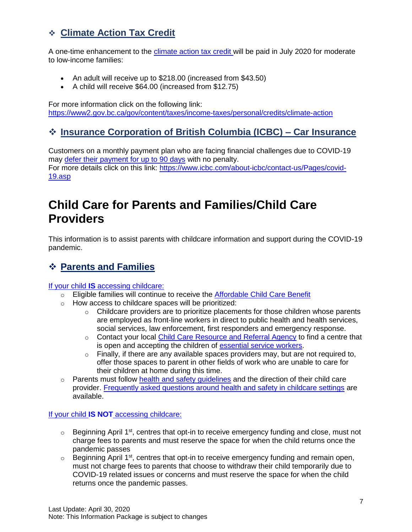# <span id="page-6-0"></span>❖ **Climate Action Tax Credit**

A one-time enhancement to the [climate action tax credit w](https://www2.gov.bc.ca/gov/content/taxes/income-taxes/personal/credits/climate-action)ill be paid in July 2020 for moderate to low-income families:

- An adult will receive up to \$218.00 (increased from \$43.50)
- A child will receive \$64.00 (increased from \$12.75)

For more information click on the following link: <https://www2.gov.bc.ca/gov/content/taxes/income-taxes/personal/credits/climate-action>

# <span id="page-6-1"></span>❖ **Insurance Corporation of British Columbia (ICBC) – Car Insurance**

Customers on a monthly payment plan who are facing financial challenges due to COVID-19 may [defer their payment for up to 90 days](https://www.icbc.com/about-icbc/contact-us/Pages/covid-19.aspx) with no penalty. For more details click on this link: https://www.icbc.com/about-icbc/contact-us/Pages/covid-19.asp

# <span id="page-6-2"></span>**Child Care for Parents and Families/Child Care Providers**

This information is to assist parents with childcare information and support during the COVID-19 pandemic.

# <span id="page-6-3"></span>❖ **Parents and Families**

If your child **IS** [accessing childcare:](https://www2.gov.bc.ca/gov/content/family-social-supports/caring-for-young-children/child-care-response-covid-19/child-care-response-covid-19-parent)

- $\circ$  Eligible families will continue to receive the [Affordable Child Care Benefit](https://www2.gov.bc.ca/gov/content/family-social-supports/caring-for-young-children/child-care-funding/child-care-benefit)
- o How access to childcare spaces will be prioritized:
	- $\circ$  Childcare providers are to prioritize placements for those children whose parents are employed as front-line workers in direct to public health and health services, social services, law enforcement, first responders and emergency response.
	- o Contact your local [Child Care Resource and Referral Agency](https://www2.gov.bc.ca/gov/content/family-social-supports/caring-for-young-children/how-to-access-child-care/child-care-resource-referral-centre) to find a centre that is open and accepting the children of [essential service workers.](https://www2.gov.bc.ca/gov/content/safety/emergency-preparedness-response-recovery/covid-19-provincial-support/essential-services-covid-19)
	- $\circ$  Finally, if there are any available spaces providers may, but are not required to, offer those spaces to parent in other fields of work who are unable to care for their children at home during this time.
- $\circ$  Parents must follow health and safety quidelines and the direction of their child care provider. [Frequently asked questions around health and safety in childcare settings](https://www2.gov.bc.ca/assets/gov/family-and-social-supports/covid-19/qa_covid19_childcare_settings_mar_24_2020.pdf) are available.

If your child **IS NOT** [accessing childcare:](https://www2.gov.bc.ca/gov/content/family-social-supports/caring-for-young-children/child-care-response-covid-19/child-care-response-covid-19-parent)

- $\circ$  Beginning April 1<sup>st</sup>, centres that opt-in to receive emergency funding and close, must not charge fees to parents and must reserve the space for when the child returns once the pandemic passes
- o Beginning April 1<sup>st</sup>, centres that opt-in to receive emergency funding and remain open, must not charge fees to parents that choose to withdraw their child temporarily due to COVID-19 related issues or concerns and must reserve the space for when the child returns once the pandemic passes.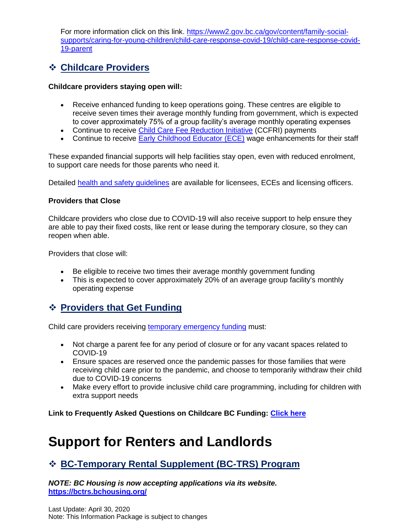For more information click on this link. [https://www2.gov.bc.ca/gov/content/family-social](https://www2.gov.bc.ca/gov/content/family-social-supports/caring-for-young-children/child-care-response-covid-19/child-care-response-covid-19-parent)[supports/caring-for-young-children/child-care-response-covid-19/child-care-response-covid-](https://www2.gov.bc.ca/gov/content/family-social-supports/caring-for-young-children/child-care-response-covid-19/child-care-response-covid-19-parent)[19-parent](https://www2.gov.bc.ca/gov/content/family-social-supports/caring-for-young-children/child-care-response-covid-19/child-care-response-covid-19-parent)

## <span id="page-7-0"></span>❖ **Childcare Providers**

#### **Childcare providers staying open will:**

- Receive enhanced funding to keep operations going. These centres are eligible to receive seven times their average monthly funding from government, which is expected to cover approximately 75% of a group facility's average monthly operating expenses
- Continue to receive [Child Care Fee Reduction Initiative](https://www2.gov.bc.ca/gov/content/family-social-supports/caring-for-young-children/running-daycare-preschool/child-care-operating-funding/child-care-fee-reduction-initiative-provider-opt-in-status) (CCFRI) payments
- Continue to receive [Early Childhood Educator \(ECE\)](https://www2.gov.bc.ca/gov/content/family-social-supports/caring-for-young-children/running-daycare-preschool/child-care-operating-funding/wage-enhancement) wage enhancements for their staff

These expanded financial supports will help facilities stay open, even with reduced enrolment, to support care needs for those parents who need it.

Detailed [health and safety guidelines](https://www2.gov.bc.ca/assets/gov/family-and-social-supports/covid-19/public_health_guidance_covid_19_for_childcare_facilities_march24_final.pdf) are available for licensees, ECEs and licensing officers.

#### **Providers that Close**

Childcare providers who close due to COVID-19 will also receive support to help ensure they are able to pay their fixed costs, like rent or lease during the temporary closure, so they can reopen when able.

Providers that close will:

- Be eligible to receive two times their average monthly government funding
- This is expected to cover approximately 20% of an average group facility's monthly operating expense

## <span id="page-7-1"></span>❖ **Providers that Get Funding**

Child care providers receiving [temporary emergency funding](https://www2.gov.bc.ca/gov/content/family-social-supports/caring-for-young-children/running-daycare-preschool/child-care-operating-funding/temp-emergency-funding) must:

- Not charge a parent fee for any period of closure or for any vacant spaces related to COVID-19
- Ensure spaces are reserved once the pandemic passes for those families that were receiving child care prior to the pandemic, and choose to temporarily withdraw their child due to COVID-19 concerns
- Make every effort to provide inclusive child care programming, including for children with extra support needs

**Link to Frequently Asked Questions on Childcare BC Funding: [Click here](https://www2.gov.bc.ca/gov/content/family-social-supports/caring-for-young-children/child-care-response-covid-19/child-care-response-covid-19-provider#CCOF)**

# <span id="page-7-2"></span>**Support for Renters and Landlords**

## <span id="page-7-3"></span>❖ **BC-Temporary Rental Supplement (BC-TRS) Program**

*NOTE: BC Housing is now accepting applications via its website.*  **<https://bctrs.bchousing.org/>**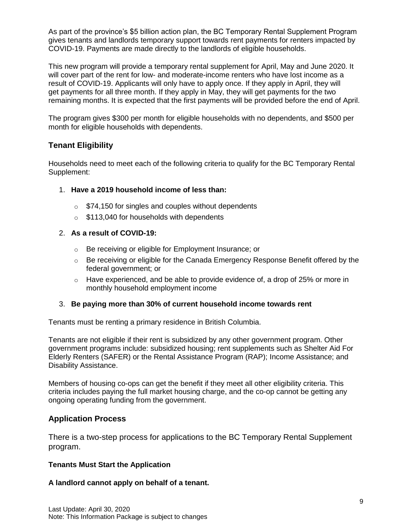As part of the province's \$5 billion action plan, the BC Temporary Rental Supplement Program gives tenants and landlords temporary support towards rent payments for renters impacted by COVID-19. Payments are made directly to the landlords of eligible households.

This new program will provide a temporary rental supplement for April, May and June 2020. It will cover part of the rent for low- and moderate-income renters who have lost income as a result of COVID-19. Applicants will only have to apply once. If they apply in April, they will get payments for all three month. If they apply in May, they will get payments for the two remaining months. It is expected that the first payments will be provided before the end of April.

The program gives \$300 per month for eligible households with no dependents, and \$500 per month for eligible households with dependents.

## **Tenant Eligibility**

Households need to meet each of the following criteria to qualify for the BC Temporary Rental Supplement:

- 1. **Have a 2019 household income of less than:**
	- $\circ$  \$74,150 for singles and couples without dependents
	- $\circ$  \$113,040 for households with dependents

#### 2. **As a result of COVID-19:**

- o Be receiving or eligible for Employment Insurance; or
- $\circ$  Be receiving or eligible for the Canada Emergency Response Benefit offered by the federal government; or
- $\circ$  Have experienced, and be able to provide evidence of, a drop of 25% or more in monthly household employment income

### 3. **Be paying more than 30% of current household income towards rent**

Tenants must be renting a primary residence in British Columbia.

Tenants are not eligible if their rent is subsidized by any other government program. Other government programs include: subsidized housing; rent supplements such as Shelter Aid For Elderly Renters (SAFER) or the Rental Assistance Program (RAP); Income Assistance; and Disability Assistance.

Members of housing co-ops can get the benefit if they meet all other eligibility criteria. This criteria includes paying the full market housing charge, and the co-op cannot be getting any ongoing operating funding from the government.

## **Application Process**

There is a two-step process for applications to the BC Temporary Rental Supplement program.

### **Tenants Must Start the Application**

### **A landlord cannot apply on behalf of a tenant.**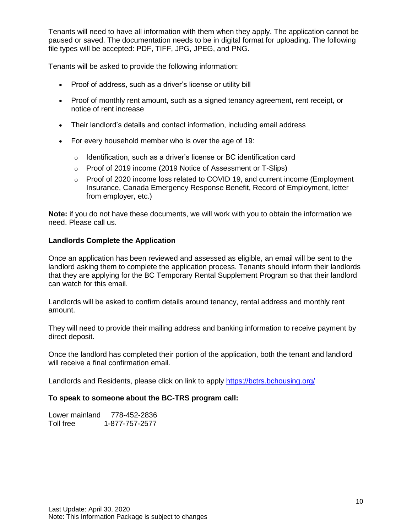Tenants will need to have all information with them when they apply. The application cannot be paused or saved. The documentation needs to be in digital format for uploading. The following file types will be accepted: PDF, TIFF, JPG, JPEG, and PNG.

Tenants will be asked to provide the following information:

- Proof of address, such as a driver's license or utility bill
- Proof of monthly rent amount, such as a signed tenancy agreement, rent receipt, or notice of rent increase
- Their landlord's details and contact information, including email address
- For every household member who is over the age of 19:
	- o Identification, such as a driver's license or BC identification card
	- o Proof of 2019 income (2019 Notice of Assessment or T-Slips)
	- $\circ$  Proof of 2020 income loss related to COVID 19, and current income (Employment Insurance, Canada Emergency Response Benefit, Record of Employment, letter from employer, etc.)

**Note:** if you do not have these documents, we will work with you to obtain the information we need. Please call us.

#### **Landlords Complete the Application**

Once an application has been reviewed and assessed as eligible, an email will be sent to the landlord asking them to complete the application process. Tenants should inform their landlords that they are applying for the BC Temporary Rental Supplement Program so that their landlord can watch for this email.

Landlords will be asked to confirm details around tenancy, rental address and monthly rent amount.

They will need to provide their mailing address and banking information to receive payment by direct deposit.

Once the landlord has completed their portion of the application, both the tenant and landlord will receive a final confirmation email.

Landlords and Residents, please click on link to apply<https://bctrs.bchousing.org/>

#### **To speak to someone about the BC-TRS program call:**

| Lower mainland | 778-452-2836   |
|----------------|----------------|
| Toll free      | 1-877-757-2577 |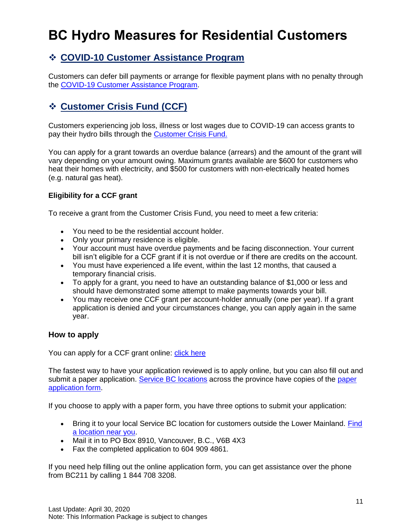# <span id="page-10-0"></span>**BC Hydro Measures for Residential Customers**

# <span id="page-10-1"></span>❖ **COVID-10 Customer Assistance Program**

Customers can defer bill payments or arrange for flexible payment plans with no penalty through the [COVID-19 Customer Assistance Program.](https://www.bchydro.com/news/press_centre/news_releases/2020/bill-relief-covid-19.html)

# <span id="page-10-2"></span>❖ **Customer Crisis Fund (CCF)**

Customers experiencing job loss, illness or lost wages due to COVID-19 can access grants to pay their hydro bills through the [Customer Crisis Fund.](https://app.bchydro.com/accounts-billing/bill-payment/ways-to-pay/customer-crisis-fund.html)

You can apply for a grant towards an overdue balance (arrears) and the amount of the grant will vary depending on your amount owing. Maximum grants available are \$600 for customers who heat their homes with electricity, and \$500 for customers with non-electrically heated homes (e.g. natural gas heat).

## **Eligibility for a CCF grant**

To receive a grant from the Customer Crisis Fund, you need to meet a few criteria:

- You need to be the residential account holder.
- Only your primary residence is eligible.
- Your account must have overdue payments and be facing disconnection. Your current bill isn't eligible for a CCF grant if it is not overdue or if there are credits on the account.
- You must have experienced a life event, within the last 12 months, that caused a temporary financial crisis.
- To apply for a grant, you need to have an outstanding balance of \$1,000 or less and should have demonstrated some attempt to make payments towards your bill.
- You may receive one CCF grant per account-holder annually (one per year). If a grant application is denied and your circumstances change, you can apply again in the same year.

## **How to apply**

You can apply for a CCF grant online: [click here](https://app.bchydro.com/ccf-application)

The fastest way to have your application reviewed is to apply online, but you can also fill out and submit a paper application. [Service BC locations](https://www2.gov.bc.ca/gov/content/governments/organizational-structure/ministries-organizations/ministries/citizens-services/servicebc) across the province have copies of the [paper](https://app.bchydro.com/content/dam/BCHydro/customer-portal/documents/accounts-billing/customer-care/bchydro-customer-crisis-fund-application.pdf)  [application form.](https://app.bchydro.com/content/dam/BCHydro/customer-portal/documents/accounts-billing/customer-care/bchydro-customer-crisis-fund-application.pdf)

If you choose to apply with a paper form, you have three options to submit your application:

- Bring it to your local Service BC location for customers outside the Lower Mainland. [Find](https://www2.gov.bc.ca/gov/content/governments/organizational-structure/ministries-organizations/ministries/citizens-services/servicebc)  [a location near you.](https://www2.gov.bc.ca/gov/content/governments/organizational-structure/ministries-organizations/ministries/citizens-services/servicebc)
- Mail it in to PO Box 8910, Vancouver, B.C., V6B 4X3
- Fax the completed application to 604 909 4861.

If you need help filling out the online application form, you can get assistance over the phone from BC211 by calling 1 844 708 3208.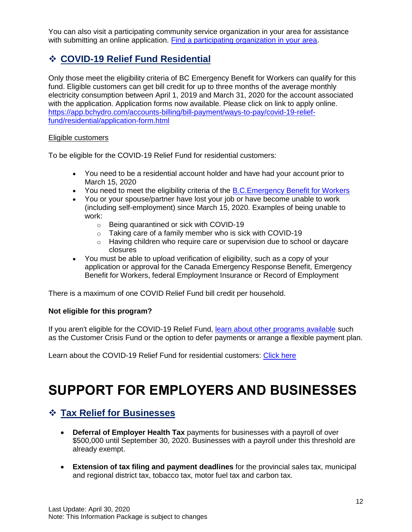You can also visit a participating community service organization in your area for assistance with submitting an online application. [Find a participating organization in your area.](https://app.bchydro.com/content/dam/BCHydro/customer-portal/documents/accounts-billing/customer-care/ccf-adovates-contact-information.pdf)

# <span id="page-11-0"></span>❖ **COVID-19 Relief Fund Residential**

Only those meet the eligibility criteria of BC Emergency Benefit for Workers can qualify for this fund. Eligible customers can get bill credit for up to three months of the average monthly electricity consumption between April 1, 2019 and March 31, 2020 for the account associated with the application. Application forms now available. Please click on link to apply online. [https://app.bchydro.com/accounts-billing/bill-payment/ways-to-pay/covid-19-relief](https://app.bchydro.com/accounts-billing/bill-payment/ways-to-pay/covid-19-relief-fund/residential/application-form.html)[fund/residential/application-form.html](https://app.bchydro.com/accounts-billing/bill-payment/ways-to-pay/covid-19-relief-fund/residential/application-form.html)

### Eligible customers

To be eligible for the COVID-19 Relief Fund for residential customers:

- You need to be a residential account holder and have had your account prior to March 15, 2020
- You need to meet the eligibility criteria of the B.C. Emergency Benefit for Workers
- You or your spouse/partner have lost your job or have become unable to work (including self-employment) since March 15, 2020. Examples of being unable to work:
	- o Being quarantined or sick with COVID-19
	- o Taking care of a family member who is sick with COVID-19
	- $\circ$  Having children who require care or supervision due to school or daycare closures
- You must be able to upload verification of eligibility, such as a copy of your application or approval for the Canada Emergency Response Benefit, Emergency Benefit for Workers, federal Employment Insurance or Record of Employment

There is a maximum of one COVID Relief Fund bill credit per household.

## **Not eligible for this program?**

If you aren't eligible for the COVID-19 Relief Fund, [learn about other programs available](https://app.bchydro.com/news/conservation/2020/covid-19-updates.html) such as the Customer Crisis Fund or the option to defer payments or arrange a flexible payment plan.

Learn about the COVID-19 Relief Fund for residential customers: [Click here](https://app.bchydro.com/accounts-billing/bill-payment/ways-to-pay/covid-19-relief-fund/residential.html)

# <span id="page-11-1"></span>**SUPPORT FOR EMPLOYERS AND BUSINESSES**

# <span id="page-11-2"></span>❖ **Tax Relief for Businesses**

- **Deferral of Employer Health Tax** payments for businesses with a payroll of over \$500,000 until September 30, 2020. Businesses with a payroll under this threshold are already exempt.
- **Extension of tax filing and payment deadlines** for the provincial sales tax, municipal and regional district tax, tobacco tax, motor fuel tax and carbon tax.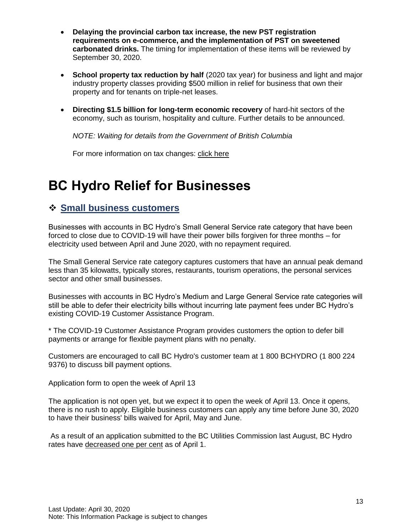- **Delaying the provincial carbon tax increase, the new PST registration requirements on e-commerce, and the implementation of PST on sweetened carbonated drinks.** The timing for implementation of these items will be reviewed by September 30, 2020.
- **School property tax reduction by half** (2020 tax year) for business and light and major industry property classes providing \$500 million in relief for business that own their property and for tenants on triple-net leases.
- **Directing \$1.5 billion for long-term economic recovery** of hard-hit sectors of the economy, such as tourism, hospitality and culture. Further details to be announced.

*NOTE: Waiting for details from the Government of British Columbia*

For more information on tax changes: [click here](https://www2.gov.bc.ca/gov/content/taxes/tax-changes/covid-19-tax-changes)

# <span id="page-12-0"></span>**BC Hydro Relief for Businesses**

## <span id="page-12-1"></span>❖ **Small business customers**

Businesses with accounts in BC Hydro's Small General Service rate category that have been forced to close due to COVID-19 will have their power bills forgiven for three months – for electricity used between April and June 2020, with no repayment required.

The Small General Service rate category captures customers that have an annual peak demand less than 35 kilowatts, typically stores, restaurants, tourism operations, the personal services sector and other small businesses.

Businesses with accounts in BC Hydro's Medium and Large General Service rate categories will still be able to defer their electricity bills without incurring late payment fees under BC Hydro's existing COVID-19 Customer Assistance Program.

\* The COVID-19 Customer Assistance Program provides customers the option to defer bill payments or arrange for flexible payment plans with no penalty.

Customers are encouraged to call BC Hydro's customer team at 1 800 BCHYDRO (1 800 224 9376) to discuss bill payment options.

Application form to open the week of April 13

The application is not open yet, but we expect it to open the week of April 13. Once it opens, there is no rush to apply. Eligible business customers can apply any time before June 30, 2020 to have their business' bills waived for April, May and June.

As a result of an application submitted to the BC Utilities Commission last August, BC Hydro rates have [decreased one per cent](https://app.bchydro.com/news/press_centre/news_releases/2020/statement-one-per-cent-rate-reduction.html) as of April 1.